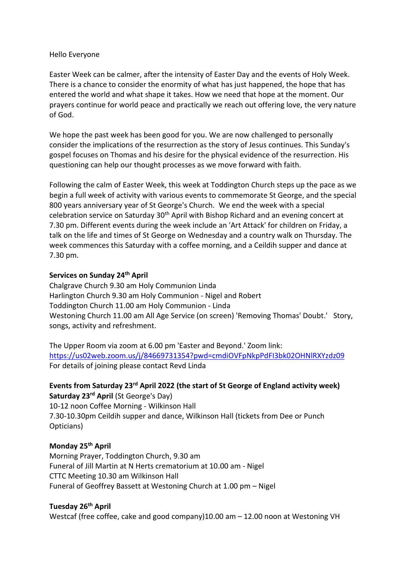## Hello Everyone

Easter Week can be calmer, after the intensity of Easter Day and the events of Holy Week. There is a chance to consider the enormity of what has just happened, the hope that has entered the world and what shape it takes. How we need that hope at the moment. Our prayers continue for world peace and practically we reach out offering love, the very nature of God.

We hope the past week has been good for you. We are now challenged to personally consider the implications of the resurrection as the story of Jesus continues. This Sunday's gospel focuses on Thomas and his desire for the physical evidence of the resurrection. His questioning can help our thought processes as we move forward with faith.

Following the calm of Easter Week, this week at Toddington Church steps up the pace as we begin a full week of activity with various events to commemorate St George, and the special 800 years anniversary year of St George's Church. We end the week with a special celebration service on Saturday  $30<sup>th</sup>$  April with Bishop Richard and an evening concert at 7.30 pm. Different events during the week include an 'Art Attack' for children on Friday, a talk on the life and times of St George on Wednesday and a country walk on Thursday. The week commences this Saturday with a coffee morning, and a Ceildih supper and dance at 7.30 pm.

## **Services on Sunday 24th April**

Chalgrave Church 9.30 am Holy Communion Linda Harlington Church 9.30 am Holy Communion - Nigel and Robert Toddington Church 11.00 am Holy Communion - Linda Westoning Church 11.00 am All Age Service (on screen) 'Removing Thomas' Doubt.' Story, songs, activity and refreshment.

The Upper Room via zoom at 6.00 pm 'Easter and Beyond.' Zoom link: <https://us02web.zoom.us/j/84669731354?pwd=cmdiOVFpNkpPdFI3bk02OHNlRXYzdz09> For details of joining please contact Revd Linda

**Events from Saturday 23rd April 2022 (the start of St George of England activity week) Saturday 23rd April** (St George's Day) 10-12 noon Coffee Morning - Wilkinson Hall 7.30-10.30pm Ceildih supper and dance, Wilkinson Hall (tickets from Dee or Punch

## **Monday 25th April**

Opticians)

Morning Prayer, Toddington Church, 9.30 am Funeral of Jill Martin at N Herts crematorium at 10.00 am - Nigel CTTC Meeting 10.30 am Wilkinson Hall Funeral of Geoffrey Bassett at Westoning Church at 1.00 pm – Nigel

## **Tuesday 26th April**

Westcaf (free coffee, cake and good company)10.00 am – 12.00 noon at Westoning VH